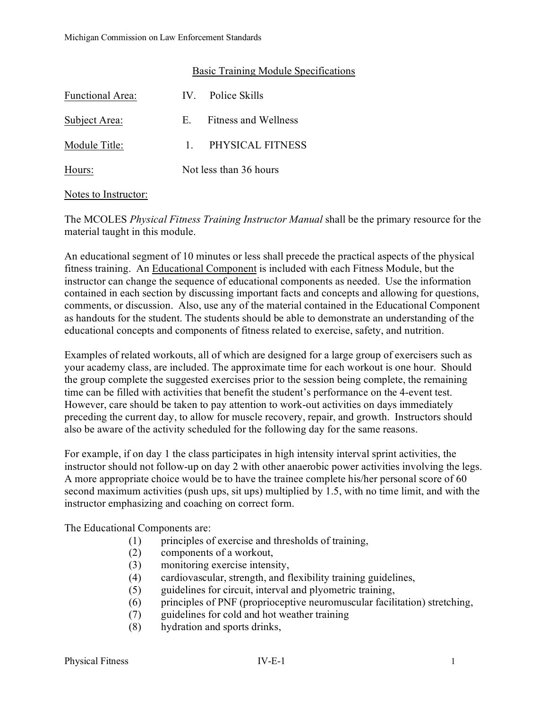## Basic Training Module Specifications

| <b>Functional Area:</b> |                        | IV. Police Skills    |
|-------------------------|------------------------|----------------------|
| Subject Area:           | E.                     | Fitness and Wellness |
| Module Title:           |                        | 1 PHYSICAL FITNESS   |
| Hours:                  | Not less than 36 hours |                      |

## Notes to Instructor:

The MCOLES *Physical Fitness Training Instructor Manual* shall be the primary resource for the material taught in this module.

An educational segment of 10 minutes or less shall precede the practical aspects of the physical fitness training. An Educational Component is included with each Fitness Module, but the instructor can change the sequence of educational components as needed. Use the information contained in each section by discussing important facts and concepts and allowing for questions, comments, or discussion. Also, use any of the material contained in the Educational Component as handouts for the student. The students should be able to demonstrate an understanding of the educational concepts and components of fitness related to exercise, safety, and nutrition.

Examples of related workouts, all of which are designed for a large group of exercisers such as your academy class, are included. The approximate time for each workout is one hour. Should the group complete the suggested exercises prior to the session being complete, the remaining time can be filled with activities that benefit the student's performance on the 4-event test. However, care should be taken to pay attention to work-out activities on days immediately preceding the current day, to allow for muscle recovery, repair, and growth. Instructors should also be aware of the activity scheduled for the following day for the same reasons.

For example, if on day 1 the class participates in high intensity interval sprint activities, the instructor should not follow-up on day 2 with other anaerobic power activities involving the legs. A more appropriate choice would be to have the trainee complete his/her personal score of 60 second maximum activities (push ups, sit ups) multiplied by 1.5, with no time limit, and with the instructor emphasizing and coaching on correct form.

The Educational Components are:

- (1) principles of exercise and thresholds of training,
- (2) components of a workout,
- (3) monitoring exercise intensity,
- (4) cardiovascular, strength, and flexibility training guidelines,
- (5) guidelines for circuit, interval and plyometric training,
- (6) principles of PNF (proprioceptive neuromuscular facilitation) stretching,
- (7) guidelines for cold and hot weather training
- (8) hydration and sports drinks,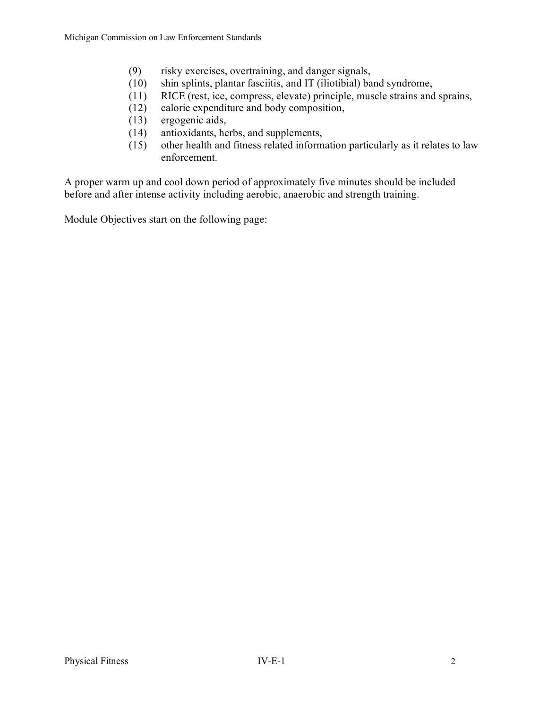- (9) risky exercises, overtraining, and danger signals,
- (10) shin splints, plantar fasciitis, and IT (iliotibial) band syndrome,
- (11) RICE (rest, ice, compress, elevate) principle, muscle strains and sprains,
- (12) calorie expenditure and body composition,
- (13) ergogenic aids,
- (14) antioxidants, herbs, and supplements,
- $(15)$  other health and fitness related information particularly as it relates to law enforcement.

A proper warm up and cool down period of approximately five minutes should be included before and after intense activity including aerobic, anaerobic and strength training.

Module Objectives start on the following page: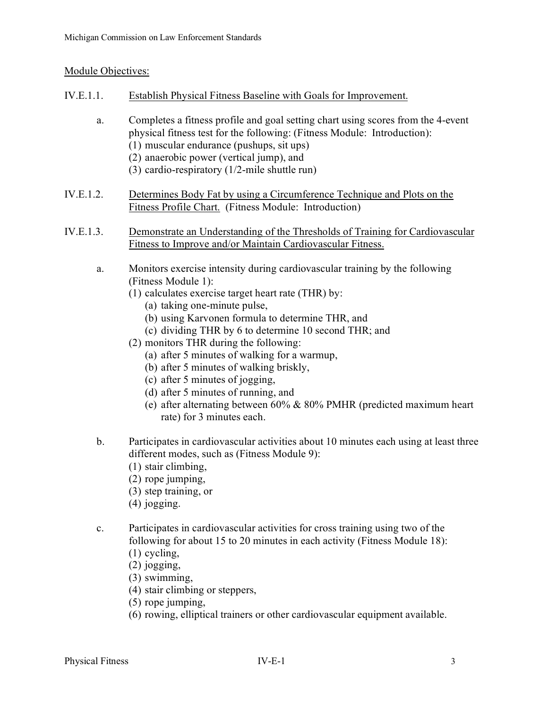## Module Objectives:

- IV.E.1.1. Establish Physical Fitness Baseline with Goals for Improvement.
	- a. Completes a fitness profile and goal setting chart using scores from the 4-event physical fitness test for the following: (Fitness Module: Introduction): (1) muscular endurance (pushups, sit ups)
		- (2) anaerobic power (vertical jump), and
		- (3) cardio-respiratory (1/2-mile shuttle run)
- IV.E.1.2. Determines Body Fat by using a Circumference Technique and Plots on the Fitness Profile Chart. (Fitness Module: Introduction)
- IV.E.1.3. Demonstrate an Understanding of the Thresholds of Training for Cardiovascular Fitness to Improve and/or Maintain Cardiovascular Fitness.
	- a. Monitors exercise intensity during cardiovascular training by the following (Fitness Module 1):
		- (1) calculates exercise target heart rate (THR) by:
			- (a) taking one-minute pulse,
			- (b) using Karvonen formula to determine THR, and
			- (c) dividing THR by 6 to determine 10 second THR; and
		- (2) monitors THR during the following:
			- (a) after 5 minutes of walking for a warmup,
			- (b) after 5 minutes of walking briskly,
			- (c) after 5 minutes of jogging,
			- (d) after 5 minutes of running, and
			- (e) after alternating between 60% & 80% PMHR (predicted maximum heart rate) for 3 minutes each.
	- b. Participates in cardiovascular activities about 10 minutes each using at least three different modes, such as (Fitness Module 9):
		- (1) stair climbing,
		- (2) rope jumping,
		- (3) step training, or
		- (4) jogging.
	- c. Participates in cardiovascular activities for cross training using two of the following for about 15 to 20 minutes in each activity (Fitness Module 18):
		- (1) cycling,
		- (2) jogging,
		- (3) swimming,
		- (4) stair climbing or steppers,
		- (5) rope jumping,
		- (6) rowing, elliptical trainers or other cardiovascular equipment available.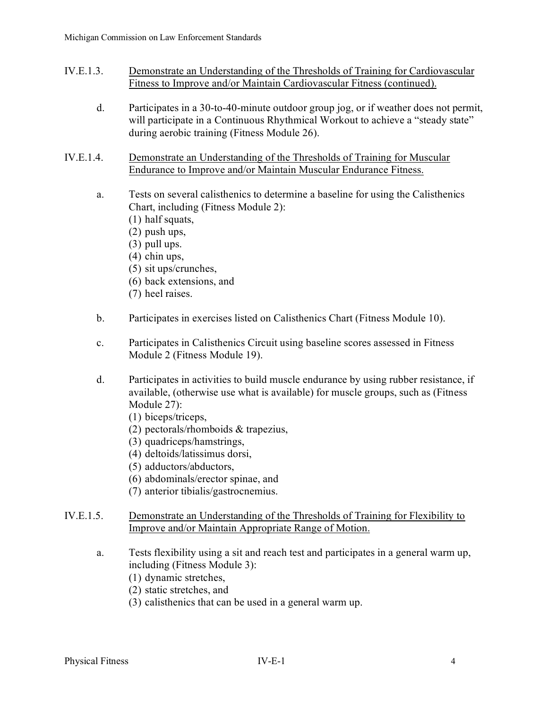- IV.E.1.3. Demonstrate an Understanding of the Thresholds of Training for Cardiovascular Fitness to Improve and/or Maintain Cardiovascular Fitness (continued).
	- d. Participates in a 30-to-40-minute outdoor group jog, or if weather does not permit, will participate in a Continuous Rhythmical Workout to achieve a "steady state" during aerobic training (Fitness Module 26).
- IV.E.1.4. Demonstrate an Understanding of the Thresholds of Training for Muscular Endurance to Improve and/or Maintain Muscular Endurance Fitness.
	- a. Tests on several calisthenics to determine a baseline for using the Calisthenics Chart, including (Fitness Module 2):
		- (1) half squats,
		- (2) push ups,
		- (3) pull ups.
		- (4) chin ups,
		- (5) sit ups/crunches,
		- (6) back extensions, and
		- (7) heel raises.
	- b. Participates in exercises listed on Calisthenics Chart (Fitness Module 10).
	- c. Participates in Calisthenics Circuit using baseline scores assessed in Fitness Module 2 (Fitness Module 19).
	- d. Participates in activities to build muscle endurance by using rubber resistance, if available, (otherwise use what is available) for muscle groups, such as (Fitness Module 27):
		- (1) biceps/triceps,
		- (2) pectorals/rhomboids & trapezius,
		- (3) quadriceps/hamstrings,
		- (4) deltoids/latissimus dorsi,
		- (5) adductors/abductors,
		- (6) abdominals/erector spinae, and
		- (7) anterior tibialis/gastrocnemius.
- IV.E.1.5. Demonstrate an Understanding of the Thresholds of Training for Flexibility to Improve and/or Maintain Appropriate Range of Motion.
	- a. Tests flexibility using a sit and reach test and participates in a general warm up, including (Fitness Module 3):
		- (1) dynamic stretches,
		- (2) static stretches, and
		- (3) calisthenics that can be used in a general warm up.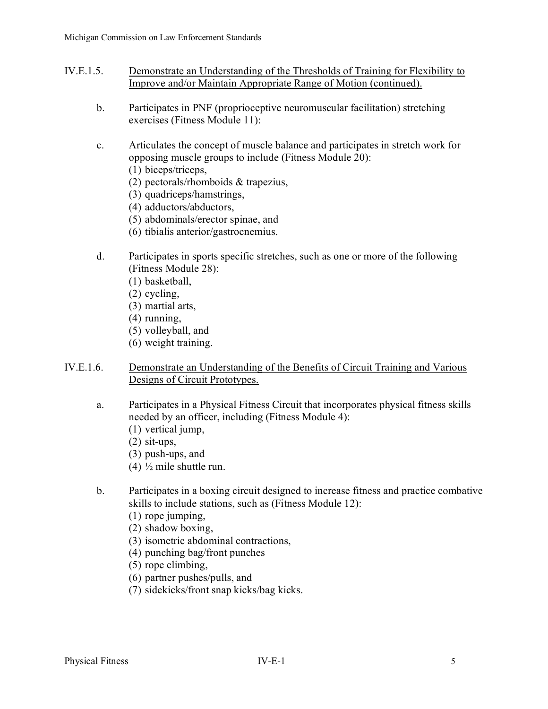- IV.E.1.5. Demonstrate an Understanding of the Thresholds of Training for Flexibility to Improve and/or Maintain Appropriate Range of Motion (continued).
	- b. Participates in PNF (proprioceptive neuromuscular facilitation) stretching exercises (Fitness Module 11):
	- c. Articulates the concept of muscle balance and participates in stretch work for opposing muscle groups to include (Fitness Module 20):
		- (1) biceps/triceps,
		- (2) pectorals/rhomboids & trapezius,
		- (3) quadriceps/hamstrings,
		- (4) adductors/abductors,
		- (5) abdominals/erector spinae, and
		- (6) tibialis anterior/gastrocnemius.
	- d. Participates in sports specific stretches, such as one or more of the following (Fitness Module 28):
		- (1) basketball,
		- (2) cycling,
		- (3) martial arts,
		- (4) running,
		- (5) volleyball, and
		- (6) weight training.
- IV.E.1.6. Demonstrate an Understanding of the Benefits of Circuit Training and Various Designs of Circuit Prototypes.
	- a. Participates in a Physical Fitness Circuit that incorporates physical fitness skills needed by an officer, including (Fitness Module 4):
		- (1) vertical jump,
		- (2) sit-ups,
		- (3) push-ups, and
		- (4)  $\frac{1}{2}$  mile shuttle run.
	- b. Participates in a boxing circuit designed to increase fitness and practice combative skills to include stations, such as (Fitness Module 12):
		- (1) rope jumping,
		- (2) shadow boxing,
		- (3) isometric abdominal contractions,
		- (4) punching bag/front punches
		- (5) rope climbing,
		- (6) partner pushes/pulls, and
		- (7) sidekicks/front snap kicks/bag kicks.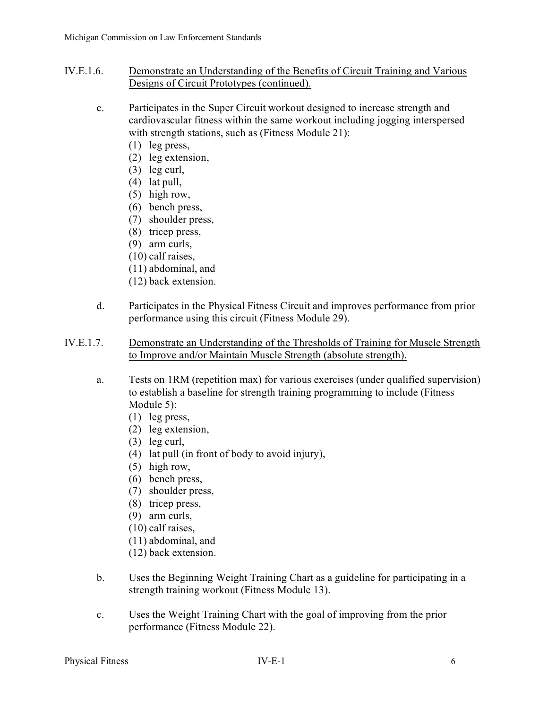- IV.E.1.6. Demonstrate an Understanding of the Benefits of Circuit Training and Various Designs of Circuit Prototypes (continued).
	- c. Participates in the Super Circuit workout designed to increase strength and cardiovascular fitness within the same workout including jogging interspersed with strength stations, such as (Fitness Module 21):
		- (1) leg press,
		- (2) leg extension,
		- (3) leg curl,
		- (4) lat pull,
		- (5) high row,
		- (6) bench press,
		- (7) shoulder press,
		- (8) tricep press,
		- (9) arm curls,
		- (10) calf raises,
		- (11) abdominal, and
		- (12) back extension.
	- d. Participates in the Physical Fitness Circuit and improves performance from prior performance using this circuit (Fitness Module 29).
- IV.E.1.7. Demonstrate an Understanding of the Thresholds of Training for Muscle Strength to Improve and/or Maintain Muscle Strength (absolute strength).
	- a. Tests on 1RM (repetition max) for various exercises (under qualified supervision) to establish a baseline for strength training programming to include (Fitness Module 5):
		- (1) leg press,
		- (2) leg extension,
		- (3) leg curl,
		- (4) lat pull (in front of body to avoid injury),
		- (5) high row,
		- (6) bench press,
		- (7) shoulder press,
		- (8) tricep press,
		- (9) arm curls,
		- (10) calf raises,
		- (11) abdominal, and
		- (12) back extension.
	- b. Uses the Beginning Weight Training Chart as a guideline for participating in a strength training workout (Fitness Module 13).
	- c. Uses the Weight Training Chart with the goal of improving from the prior performance (Fitness Module 22).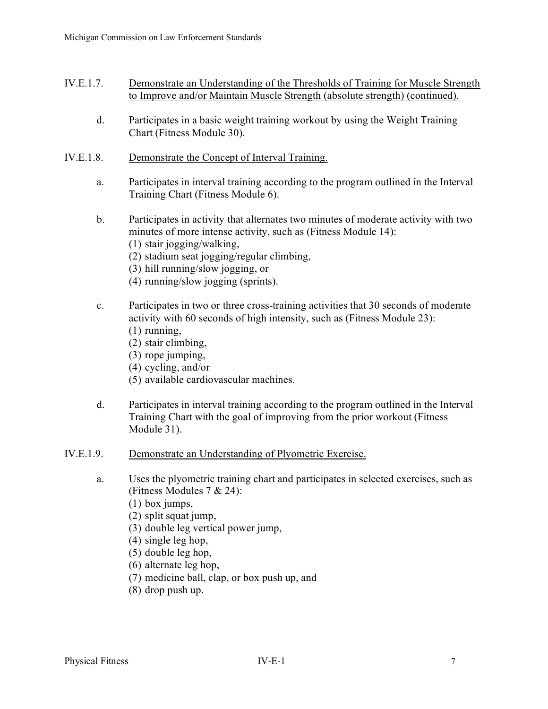- IV.E.1.7. Demonstrate an Understanding of the Thresholds of Training for Muscle Strength to Improve and/or Maintain Muscle Strength (absolute strength) (continued).
	- d. Participates in a basic weight training workout by using the Weight Training Chart (Fitness Module 30).
- IV.E.1.8. Demonstrate the Concept of Interval Training.
	- a. Participates in interval training according to the program outlined in the Interval Training Chart (Fitness Module 6).
	- b. Participates in activity that alternates two minutes of moderate activity with two minutes of more intense activity, such as (Fitness Module 14):
		- (1) stair jogging/walking,
		- (2) stadium seat jogging/regular climbing,
		- (3) hill running/slow jogging, or
		- (4) running/slow jogging (sprints).
	- c. Participates in two or three cross-training activities that 30 seconds of moderate activity with 60 seconds of high intensity, such as (Fitness Module 23):
		- (1) running,
		- (2) stair climbing,
		- (3) rope jumping,
		- (4) cycling, and/or
		- (5) available cardiovascular machines.
	- d. Participates in interval training according to the program outlined in the Interval Training Chart with the goal of improving from the prior workout (Fitness Module 31).
- IV.E.1.9. Demonstrate an Understanding of Plyometric Exercise.
	- a. Uses the plyometric training chart and participates in selected exercises, such as (Fitness Modules 7 & 24):
		- (1) box jumps,
		- (2) split squat jump,
		- (3) double leg vertical power jump,
		- (4) single leg hop,
		- (5) double leg hop,
		- (6) alternate leg hop,
		- (7) medicine ball, clap, or box push up, and
		- (8) drop push up.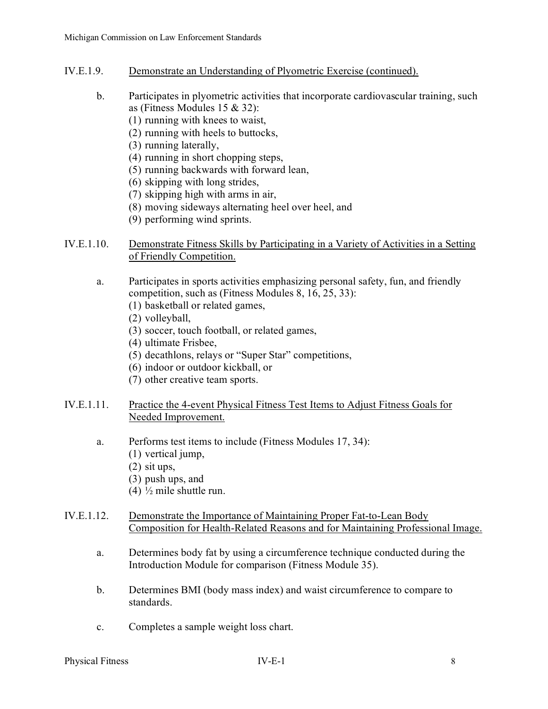- IV.E.1.9. Demonstrate an Understanding of Plyometric Exercise (continued).
	- b. Participates in plyometric activities that incorporate cardiovascular training, such as (Fitness Modules 15 & 32):
		- (1) running with knees to waist,
		- (2) running with heels to buttocks,
		- (3) running laterally,
		- (4) running in short chopping steps,
		- (5) running backwards with forward lean,
		- (6) skipping with long strides,
		- (7) skipping high with arms in air,
		- (8) moving sideways alternating heel over heel, and
		- (9) performing wind sprints.

## IV.E.1.10. Demonstrate Fitness Skills by Participating in a Variety of Activities in a Setting of Friendly Competition.

- a. Participates in sports activities emphasizing personal safety, fun, and friendly competition, such as (Fitness Modules 8, 16, 25, 33):
	- (1) basketball or related games,
	- (2) volleyball,
	- (3) soccer, touch football, or related games,
	- (4) ultimate Frisbee,
	- (5) decathlons, relays or "Super Star" competitions,
	- (6) indoor or outdoor kickball, or
	- (7) other creative team sports.
- IV.E.1.11. Practice the 4-event Physical Fitness Test Items to Adjust Fitness Goals for Needed Improvement.
	- a. Performs test items to include (Fitness Modules 17, 34):
		- (1) vertical jump,
		- (2) sit ups,
		- (3) push ups, and
		- (4) ½ mile shuttle run.
- IV.E.1.12. Demonstrate the Importance of Maintaining Proper Fat-to-Lean Body Composition for Health-Related Reasons and for Maintaining Professional Image.
	- a. Determines body fat by using a circumference technique conducted during the Introduction Module for comparison (Fitness Module 35).
	- b. Determines BMI (body mass index) and waist circumference to compare to standards.
	- c. Completes a sample weight loss chart.